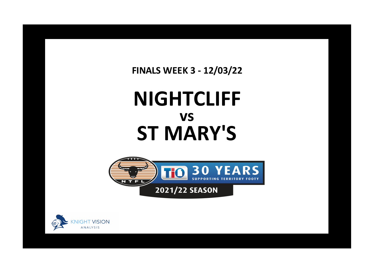**FINALS WEEK 3 - 12/03/22**

## **NIGHTCLIFF ST MARY'S vs**





**x**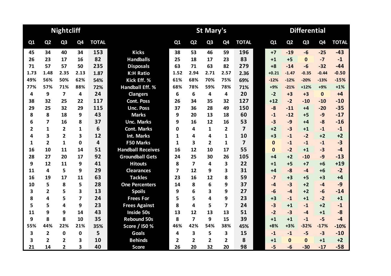|      |                | <b>Nightcliff</b>       |                         |              |                          |              |                         | St Mary's      |                |                         | <b>Differential</b> |                |                |                |              |  |  |
|------|----------------|-------------------------|-------------------------|--------------|--------------------------|--------------|-------------------------|----------------|----------------|-------------------------|---------------------|----------------|----------------|----------------|--------------|--|--|
| Q1   | Q <sub>2</sub> | Q <sub>3</sub>          | Q4                      | <b>TOTAL</b> |                          | Q1           | Q <sub>2</sub>          | Q <sub>3</sub> | Q <sub>4</sub> | <b>TOTAL</b>            | Q1                  | Q <sub>2</sub> | Q <sub>3</sub> | Q <sub>4</sub> | <b>TOTAL</b> |  |  |
| 45   | 34             | 40                      | 34                      | 153          | <b>Kicks</b>             | 38           | 53                      | 46             | 59             | 196                     | $+7$                | $-19$          | -6             | $-25$          | $-43$        |  |  |
| 26   | 23             | 17                      | 16                      | 82           | <b>Handballs</b>         | 25           | 18                      | 17             | 23             | 83                      | $+1$                | $+5$           | $\mathbf{0}$   | $-7$           | $-1$         |  |  |
| 71   | 57             | 57                      | 50                      | 235          | <b>Disposals</b>         | 63           | 71                      | 63             | 82             | 279                     | $+8$                | $-14$          | $-6$           | $-32$          | $-44$        |  |  |
| 1.73 | 1.48           | 2.35                    | 2.13                    | 1.87         | <b>K:H Ratio</b>         | 1.52         | 2.94                    | 2.71           | 2.57           | 2.36                    | $+0.21$             | $-1.47$        | $-0.35$        | $-0.44$        | $-0.50$      |  |  |
| 49%  | 56%            | 50%                     | 62%                     | 54%          | Kick Eff. %              | 61%          | 68%                     | 70%            | 75%            | 69%                     | $-12%$              | $-12%$         | $-20%$         | $-13%$         | $-15%$       |  |  |
| 77%  | 57%            | 71%                     | 88%                     | 72%          | <b>Handball Eff. %</b>   | 68%          | 78%                     | 59%            | 78%            | 71%                     | +9%                 | $-21%$         | $+12%$         | $+9%$          | $+1%$        |  |  |
| 4    | 9              | $\overline{\mathbf{z}}$ | 4                       | 24           | <b>Clangers</b>          | 6            | 6                       | 4              | 4              | 20                      | $-2$                | $+3$           | $+3$           | $\mathbf 0$    | $+4$         |  |  |
| 38   | 32             | 25                      | 22                      | 117          | <b>Cont. Poss</b>        | 26           | 34                      | 35             | 32             | 127                     | $+12$               | $-2$           | $-10$          | $-10$          | $-10$        |  |  |
| 29   | 25             | 32                      | 29                      | 115          | <b>Unc. Poss</b>         | 37           | 36                      | 28             | 49             | 150                     | $-8$                | $-11$          | $+4$           | $-20$          | $-35$        |  |  |
| 8    | 8              | 18                      | 9                       | 43           | <b>Marks</b>             | 9            | 20                      | 13             | 18             | 60                      | $-1$                | $-12$          | $+5$           | $-9$           | $-17$        |  |  |
| 6    | 7              | 16                      | 8                       | 37           | <b>Unc. Marks</b>        | 9            | 16                      | 12             | 16             | 53                      | $-3$                | $-9$           | $+4$           | $-8$           | $-16$        |  |  |
| 2    | 1              | $\overline{2}$          | 1                       | 6            | <b>Cont. Marks</b>       | 0            | 4                       | 1              | $\mathbf{2}$   | $\overline{\mathbf{z}}$ | $+2$                | $-3$           | $+1$           | $-1$           | $-1$         |  |  |
| 4    | 3              | $\overline{2}$          | 3                       | 12           | <b>Int. Marks</b>        | 1            | 4                       | 4              | 1              | 10                      | $+3$                | $-1$           | $-2$           | $+2$           | $+2$         |  |  |
| 1    | $\overline{2}$ | $\mathbf{1}$            | 0                       | 4            | <b>F50 Marks</b>         | 1            | 3                       | $\overline{2}$ | 1              | $\overline{7}$          | $\mathbf{0}$        | $-1$           | $-1$           | $-1$           | $-3$         |  |  |
| 16   | 10             | 11                      | 14                      | 51           | <b>Handball Receives</b> | 16           | 12                      | 10             | 17             | 55                      | $\Omega$            | $-2$           | $+1$           | $-3$           | $-4$         |  |  |
| 28   | 27             | 20                      | 17                      | 92           | <b>Groundball Gets</b>   | 24           | 25                      | 30             | 26             | 105                     | $+4$                | $+2$           | $-10$          | $-9$           | $-13$        |  |  |
| 9    | 12             | 11                      | 9                       | 41           | <b>Hitouts</b>           | 8            | $\overline{\mathbf{z}}$ | 4              | 3              | 22                      | $+1$                | $+5$           | $+7$           | $+6$           | $+19$        |  |  |
| 11   | 4              | 5                       | 9                       | 29           | <b>Clearances</b>        | 7            | 12                      | 9              | 3              | 31                      | $+4$                | $-8$           | $-4$           | $+6$           | $-2$         |  |  |
| 16   | 19             | 17                      | 11                      | 63           | <b>Tackles</b>           | 23           | 16                      | 12             | 8              | 59                      | $-7$                | $+3$           | $+5$           | $+3$           | $+4$         |  |  |
| 10   | 5              | 8                       | 5                       | 28           | <b>One Percenters</b>    | 14           | 8                       | 6              | 9              | 37                      | $-4$                | $-3$           | $+2$           | $-4$           | $-9$         |  |  |
| 3    | $\overline{2}$ | 5                       | $\overline{\mathbf{3}}$ | 13           | <b>Spoils</b>            | 9            | 6                       | 3              | 9              | 27                      | $-6$                | $-4$           | $+2$           | $-6$           | $-14$        |  |  |
| 8    | 4              | 5                       | 7                       | 24           | <b>Frees For</b>         | 5            | 5                       | 4              | 9              | 23                      | $+3$                | $-1$           | $+1$           | $-2$           | $+1$         |  |  |
| 5    | 5              | 4                       | 9                       | 23           | <b>Frees Against</b>     | 8            | 4                       | 5              | $\overline{7}$ | 24                      | $-3$                | $+1$           | $-1$           | $+2$           | $-1$         |  |  |
| 11   | 9              | 9                       | 14                      | 43           | Inside 50s               | 13           | 12                      | 13             | 13             | 51                      | $-2$                | $-3$           | $-4$           | $+1$           | $-8$         |  |  |
| 9    | 8              | 8                       | 10                      | 35           | <b>Rebound 50s</b>       | 8            | $\overline{\mathbf{z}}$ | 9              | 15             | 39                      | $+1$                | $+1$           | $-1$           | $-5$           | $-4$         |  |  |
| 55%  | 44%            | 22%                     | 21%                     | 35%          | Score / I50 %            | 46%          | 42%                     | 54%            | 38%            | 45%                     | $+8%$               | $+3%$          | $-32%$         | $-17%$         | $-10%$       |  |  |
| 3    | 2              | $\mathbf 0$             | $\mathbf{0}$            | 5            | <b>Goals</b>             | 4            | 3                       | 5              | 3              | 15                      | $-1$                | $-1$           | $-5$           | $-3$           | $-10$        |  |  |
| 3    | 2              | 2                       | 3                       | 10           | <b>Behinds</b>           | $\mathbf{2}$ | $\overline{2}$          | $\overline{2}$ | $\mathbf{2}$   | 8                       | $+1$                | $\Omega$       | $\Omega$       | $+1$           | $+2$         |  |  |
| 21   | 14             | $\mathbf{2}$            | 3                       | 40           | <b>Score</b>             | 26           | 20                      | 32             | 20             | 98                      | $-5$                | $-6$           | $-30$          | $-17$          | $-58$        |  |  |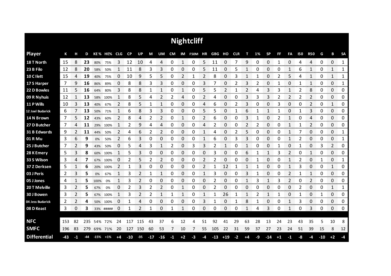|                     |     |              |     |      |             |    |       |           |       |                |      |                    | <b>Nightcliff</b>     |    |       |              |      |      |    |           |      |    |            |                |       |                           |               |
|---------------------|-----|--------------|-----|------|-------------|----|-------|-----------|-------|----------------|------|--------------------|-----------------------|----|-------|--------------|------|------|----|-----------|------|----|------------|----------------|-------|---------------------------|---------------|
| <b>Player</b>       | К   | н            | D   |      | KE% HE% CLG |    | CP    | <b>UP</b> | M     | UM             | CM   |                    | IM F50M HR GBG HO CLR |    |       |              |      | т    | 1% | <b>SP</b> | FF   | FA | <b>150</b> | <b>R50</b>     | G     | В                         | <b>SA</b>     |
| 18 T North          | 15  | 8            | 23  | 80%  | 75%         | З  | 12    | 10        | 4     | 4              | 0    | 1                  | 0                     | 5  | 11    | 0            |      | 9    | 0  | 0         | 1    | 0  | 4          | 4              | 0     | 0                         | 1             |
| 23 B Filo           | 12  | 8            | 20  | 58%  | 50%         |    | 11    | 8         | 3     | 3              | 0    | 0                  | 0                     | 5  | 11    | 0            | 5    |      | 0  | 0         | 0    | 1  | 6          |                | 0     | 1                         | 1             |
| 10 C I lett         | 15  | 4            | 19  | 40%  | 75%         | 0  | 10    | 9         | 5     | 5              | 0    | 2                  | 1                     | 2  | 8     | 0            | 3    | 1    |    | 0         | 2    | 5  | 4          |                | 0     | 1                         | 1             |
| 17 S Harper         | 7   | 9            | 16  | 86%  | 89%         | 0  | 8     | 8         | 3     | 3              | 0    | 0                  | 0                     | 3  | 7     | 0            | 2    | 3    |    | 0         | 1    | 0  |            | 1              | 0     | 0                         | 1             |
| 22 D Bowles         | 11  | 5            | 16  | 64%  | 80%         | 3  | 8     | 8         | 1     | 1              | 0    | 1                  | 0                     | 5  | 5     | 2            |      | 2    | 4  | 3         | 3    | 1  | 2          | 8              | 0     | 0                         | 0             |
| 09 R Nyhuis         | 12  | $\mathbf{1}$ | 13  | 58%  | 100%        | 1  | 8     | 5         | 4     | 2              | 2    | 4                  | 0                     | 2  | 4     | 0            | 0    | 3    | 3  | 3         | 2    | 2  | 2          | 2              | 0     | 0                         | 0             |
| 11 P Wills          | 10  | 3            | 13  | 40%  | 67%         | 2  | 8     | 5         | 1     | 1              | 0    | 0                  | 0                     | 4  | 6     | 0            | 2    | 3    | 0  | 0         | 3    | 0  | 0          | $\overline{2}$ | 0     | $\mathbf{1}$              | 0             |
| 12 Joel Budarick    | 6   |              | 13  | 50%  | 71%         | 1  | 6     | 8         | 3     | 3              | 0    | 0                  | 0                     | 5  | 5     | 0            | 1    | 6    | 1  | 1         | 1    | 0  | 1          | 3              | 0     | 0                         | 0             |
| 14 N Brown          | 7   | 5            | 12  | 43%  | 60%         | 2  | 8     | 4         | 2     | $\overline{2}$ | 0    | 1                  | 0                     | 2  | 6     | 0            | 0    | 3    | 1  | 0         | 2    | 1  | 0          | 4              | 0     | 0                         | 0             |
| 27 D Butcher        | 7   | 4            | 11  | 29%  | 100%        | 1  | 2     | 9         | 4     | 4              | 0    | 0                  | 0                     | 4  | 2     | 0            | 0    | 2    | 2  | 0         | 0    | 1  | 1          | 2              | 0     | 0                         | 0             |
| 31 B Edwards        | 9   | 2            | 11  | 44%  | 50%         | 2  | 4     | 6         | 2     | 2              | 0    | 0                  | 0                     | 1  | 4     | 0            | 2    | 5    | 0  | 0         | 0    | 1  |            | 0              | 0     | 0                         | 1             |
| 01 R Mu             | 3   | 6            | 9   | 0%   | 50%         | 2  | 6     | 3         | 0     | 0              | 0    | 0                  | 0                     | 1  | 6     | 0            | 3    | 3    | 0  | 0         | 0    | 1  | 2          | 0              | 0     | 0                         | 1             |
| 25 J Butcher        | 7   | 2            | 9   | 43%  | 50%         | 0  | 5     | 4         | 3     | 1              | 2    | 0                  | 3                     | 3  | 2     | 1            | 0    | 1    | 0  | 0         | 1    | 0  |            | 0              | 3     | 2                         | 0             |
| 28 K Emery          | 5   | 3            | 8   | 60%  | 100%        |    | 5     | 3         | 0     | 0              | 0    | 0                  | 0                     | 0  | 3     | 0            | 0    | 6    |    | 1         | 3    | 2  | 0          | 1              | 0     | 0<br><b>TOTAL CONTROL</b> | 0<br>mmmm     |
| 33 S Wilson         | 3   | 4            |     | 67%  | 100%        | O  | 2     | 5         | 2     | 2              | 0    | 0<br>ana ana am    | 0                     | 2  | 2     | 0            | 0    | O    |    | 0         | 0    |    | 2          | 0              | 1     | 0<br>www.www.ww           | 1             |
| 37 Z Derksen        | 5   |              | 6   | 20%  | 100%        | 2  |       | 3         | O     | 0              | 0    | 0<br><b>TOO OO</b> | 0                     | 2  |       | 12<br>an ana |      |      |    | O         | Ω    |    | 3          | 0              | O     | 1<br>an an an             | 0<br>ommon o  |
| 03 J Peris          | 2   | 3            | 5   | 0%   | 67%         | 1  | 3     | 2         | 1     | 1              | 0    | 0                  | 0                     | 1  | 3     | 0            | 0    | 3    |    | 0         | 0    | 2  |            | 1              | 0     | 0<br><b>Services</b>      | 0<br>anana an |
| 05 J Jones          | 4   |              | 5   | 100% | 0%          |    | 3     |           | O     | 0              | 0    | 0                  | 0                     | 0  | 2     | 0            | 0    |      |    |           |      | 2  | 0          | 2              | 0     | 0                         | 0             |
| 20 T Melville       | 3   | 2            | 5   | 67%  | 0%          | 0  | 2     | 3         | 2     | 2              | 0    | 1                  | 0                     | 0  | 2     | 0            | 0    | 0    | O  | 0         | 0    | 0  | 2          | 0              | 0     | 1                         | 1             |
| 30 J Bowen          | 3   | 2            | 5   | 67%  | 100%        |    | 3     |           | 2     | 1              | 1    | 1                  | 0                     | 1  | 1     | 26           | 1    | 1    | 2  | 1         | 1    | 0  | 1          | 0              | 1     | 0                         | 0             |
| 04 Jess Budarick    | 2   | 2            | 4   |      | 50% 100%    | 0  | 1     | 4         | 0     | 0              | 0    | 0                  | 0                     | 3  | 1     | 0            | 1    | 8    | 1  | 0         | 0    | 1  | 3          | 0              | 0     | 0                         | 0             |
| 08 D Keast          | 3   | 0            | 3   |      | 33% #####   | 0  | 1     | 2         | 1     | 0              | 1    | 1                  | 0                     | 0  | 0     | 0            | 0    | 1    | 4  | 3         | 0    | 1  | 0          | 3              | 0     | 0                         | 0             |
|                     |     |              |     |      |             |    |       |           |       |                |      |                    |                       |    |       |              |      |      |    |           |      |    |            |                |       |                           |               |
| <b>NFC</b>          | 153 | 82           | 235 | 54%  | 72%         | 24 | 117   | 115       | 43    | 37             | 6    | 12                 | 4                     | 51 | 92    | 41           | 29   | 63   | 28 | 13        | 24   | 23 | 43         | 35             | 5     | 10                        | 8             |
| <b>SMFC</b>         | 196 | 83           | 279 |      | 69% 71%     | 20 | 127   | 150       | 60    | 53             | 7    | 10                 | 7                     | 55 | 105   | 22           | 31   | 59   | 37 | 27        | 23   | 24 | 51         | 39             | 15    | 8                         | 12            |
| <b>Differential</b> | -43 | -1           | -44 | -15% | $+1%$       | +4 | $-10$ | $-35$     | $-17$ | $-16$          | $-1$ | $+2$               | $-3$                  | -4 | $-13$ | $+19$        | $-2$ | $+4$ | -9 | -14       | $+1$ | -1 | -8         | -4             | $-10$ | $+2$                      | -4            |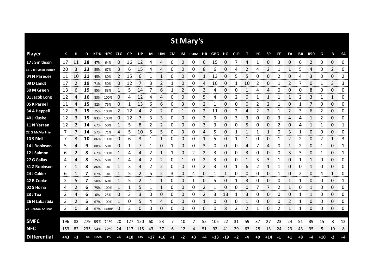|                      |     |      |       |        |             |                |       |       |       |       |           |      | <b>St Mary's</b> |      |        |       |            |    |      |                |    |      |            |                |       |                 |               |
|----------------------|-----|------|-------|--------|-------------|----------------|-------|-------|-------|-------|-----------|------|------------------|------|--------|-------|------------|----|------|----------------|----|------|------------|----------------|-------|-----------------|---------------|
| <b>Player</b>        | К   | н    | D     |        | KE% HE% CLG |                | CP    | UP    | M     | UM    | <b>CM</b> |      | IM F50M HR       |      | GBG HO |       | <b>CLR</b> | т  | 1%   | <b>SP</b>      | FF | FA   | <b>I50</b> | <b>R50</b>     | G     | В               | <b>SA</b>     |
| 17 J Smithson        | 17  | 11   | 28    | 47%    | 64%         | 0              | 16    | 12    | 4     | 4     | 0         | 0    | 0                | 6    | 15     | 0     | 7          | 4  | 1    | 0              | 3  | 0    | 6          | $\overline{2}$ | 0     | 0               | 0             |
| 33 L Jellyman-Turner | 20  | 3    | 23    | 55%    | 67%         | 3              | 6     | 15    | 4     | 4     | 0         | 0    | 0                | 8    | 6      | 0     | 4          | 2  | 4    | 2              |    | 1    | 5          | 4              | 0     | 2               | 0             |
| 04 N Paredes         | 11  | 10   | 21    | 45%    | 80%         | $\overline{2}$ | 15    | 6     | 1     | 1     | 0         | 0    | 0                | 1    | 13     | 0     | 5          | 5  | 0    | 0              | 2  | 0    | 4          | 3              | 0     | 0               | 2             |
| 09 D Landt           | 17  | 2    | 19    | 71%    | 50%         | 0              | 12    |       | 3     | 2     | 1         | 0    | 0                | 4    | 10     | 0     |            | 10 | 2    | 0              | 1  | 2    |            | 0              | 1     | 3               | 3             |
| 30 M Green           | 13  | 6    | 19    | 85%    | 83%         | 1              | 5     | 14    | 7     | 6     | 1         | 2    | 0                | 3    | 4      | 0     | 0          | 1  | 4    | 4              | 0  | 0    | 0          | 8              | 0     | 0               | 0             |
| 01 Jacob Long        | 12  | 4    | 16    | 83%    | 100%        | 0              | 4     | 12    | 4     | 4     | 0         | 0    | 0                | 5    | 4      | 0     | 2          | 0  | 1    | 1              | 1  | 1    | 2          | 3              | 1     | 1               | 0             |
| 05 K Parnell         | 11  | 4    | 15    | 82%    | 75%         | 0              | 1     | 13    | 6     | 6     | 0         | 3    | 0                | 2    | 1      | 0     | 0          | 0  | 2    | $\overline{2}$ |    | 0    | 1          | 7              | 0     | 0               | 0             |
| 34 A Heppell         | 12  | 3    | 15    | 75%    | 100%        | 2              | 12    | 4     | 2     | 2     | 0         | 1    | 0                | 2    | 11     | 0     | 2          | 4  | 2    | 2              |    | 2    | 3          | 6              | 2     | 0               | 0             |
| 40 J Kluske          | 12  | 3    | 15    | 83%    | 100%        | 0              | 12    |       | 3     | 3     | 0         | 0    | 0                | 2    | 9      | 0     | 3          | 3  | 0    | 0              | 3  | 4    | 4          | 1              | 2     | 0               | 0             |
| 11 N Yarran          | 12  | 2    | 14    | 67%    | 50%         | 1              | 5     | 8     | 2     | 2     | 0         | 0    | 0                | 3    | 3      | 0     | 0          | 5  | 0    | 0              | 2  | 0    | Δ          | 1              | 1     | 0               | 1             |
| 22 G McMurtrie       | 7   |      | 14    | 57%    | 71%         | 4              | 5     | 10    | 5     | 5     | 0         | 3    | 0                | 4    | 5      | 0     | 1          | 1  |      | 1              | 0  | 3    |            | 0              | 0     | 0               | 0             |
| 10 S Rioli           | 7   | 3    | 10    | 86%    | 100%        | 0              | 6     | 3     | 1     | 1     | 0         | 0    | 0                | 1    | 5      | 0     |            | 1  | 0    | 0              |    | 2    |            | 0              | 2     | 1               | 3             |
| 14 J Robinson        | 5   | 4    | 9     | 80%    | 50%         | 0              | 1     |       | 1     | 0     | 1         | 0    | 0                | 3    | 0      | 0     | 0          | 4  |      | 4              | 0  | 1    | 2          | 0              | 1     | 0               | 1             |
| 12 J Salmon          | 6   | 2    | 8     | 67%    | 100%        |                | 4     | Δ     | 2     | 1     | 1         | 0    | 2                | 2    | 3      | 0     | 0          | 3  | Ω    | 0              | 0  | 3    | 3          | 0              | 1     | 0               | 1<br>manan m  |
| 27 G Gallus          | 4   | 4    | 8     | 75%    | 50%         |                | 4     | 4     | 2     | 2     | 0         | 1    | 0                | 2    | 3      | 0     | 0          |    | 3    | 3              |    | 0    |            | 1<br>anan mas  | 0     | 0<br>an an an a | 0<br>anana an |
| 31 Z Robinson        | 7   | 1    | 8     | 86%    | 0%          |                | 3     | 4     | 2     | 2     | 0         | 0    | 0                | 2    | 3      | 0     |            | ь  |      |                |    | 0    | O          |                | 0     | 0               | 0<br>nn nn m  |
| 24 J Calder          | 6   | 1    | 7     | 67%    | 0%          | 1              | 5     | 2     | 5     | 2     | 3         | 0    | 4                | 0    | 1      | 1     | 0          | 0  | 0    | 0              | 1  | 0    | 2          | 0              | 4     | 1               | 0             |
| 42 B Cooke           | 2   | 5    |       | 50%    | 60%         |                | 5     |       | 1     | 1     | 0         | 0    | 1                | 0    | 5      | 0     |            | 3  | 0    | 0              | U  | 1    |            | 0              | 0     | 0               | 1             |
| 02 S Holna           | 4   |      | 6     | 75%    | 100%        | 1              | 1     | 5     | 1     | 1     | 0         | 0    | 0                | 2    |        | 0     | 0          | 0  |      | 7              | 2  | 1    | 0          | 1              | 0     | 0               | 0             |
| 23 J Toa             | 2   | 4    | 6     | 0%     | 25%         | 0              | 3     | 3     | 0     | 0     | 0         | 0    | 0                | 2    | 3      | 13    | 1          | 3  | 0    | 0              | 0  | 0    |            | 1              | 0     | 0               | 0             |
| 26 H Labastida       | 3   | 2    | 5     | 67%    | 100%        | 1              | 0     | 5     | 4     | 4     | 0         | 0    | 0                | 1    | 0      | 0     | 0          | 1  | 0    | 0              | 0  | 2    | 1          | 0              | 0     | 0               | 0             |
| 21 Braxton Ah Mat    | 3   | 0    | 3     |        | 67% #####   | 0              | 2     | 0     | 0     | 0     | 0         | 0    | 0                | 0    | 0      | 8     | 2          | 2  | 1    | 0              | 2  | 1    | -1         | 0              | 0     | 0               | 0             |
|                      |     |      |       |        |             |                |       |       |       |       |           |      |                  |      |        |       |            |    |      |                |    |      |            |                |       |                 |               |
| <b>SMFC</b>          | 196 | 83   | 279   | 69%    | 71%         | 20             | 127   | 150   | 60    | 53    |           | 10   | 7                | 55   | 105    | 22    | 31         | 59 | 37   | 27             | 23 | 24   | 51         | 39             | 15    | 8               | 12            |
| <b>NFC</b>           | 153 | 82   | 235   |        | 54% 72%     | 24             | 117   | 115   | 43    | 37    | 6         | 12   | 4                | 51   | 92     | 41    | 29         | 63 | 28   | 13             | 24 | 23   | 43         | 35             | 5     | 10              | 8             |
| <b>Differential</b>  | +43 | $+1$ | $+44$ | $+15%$ | $-1%$       | -4             | $+10$ | $+35$ | $+17$ | $+16$ | $+1$      | $-2$ | $+3$             | $+4$ | $+13$  | $-19$ | $+2$       | -4 | $+9$ | $+14$          | -1 | $+1$ | $+8$       | $+4$           | $+10$ | $-2$            | $+4$          |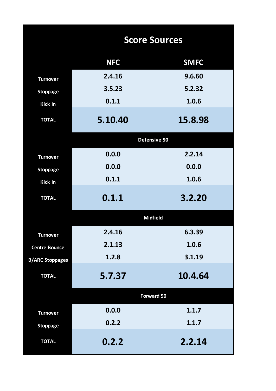|                        |            | <b>Score Sources</b> |
|------------------------|------------|----------------------|
|                        | <b>NFC</b> | <b>SMFC</b>          |
| <b>Turnover</b>        | 2.4.16     | 9.6.60               |
| <b>Stoppage</b>        | 3.5.23     | 5.2.32               |
| Kick In                | 0.1.1      | 1.0.6                |
| <b>TOTAL</b>           | 5.10.40    | 15.8.98              |
|                        |            | Defensive 50         |
| <b>Turnover</b>        | 0.0.0      | 2.2.14               |
| <b>Stoppage</b>        | 0.0.0      | 0.0.0                |
| Kick In                | 0.1.1      | 1.0.6                |
| <b>TOTAL</b>           | 0.1.1      | 3.2.20               |
|                        |            | <b>Midfield</b>      |
| <b>Turnover</b>        | 2.4.16     | 6.3.39               |
| <b>Centre Bounce</b>   | 2.1.13     | 1.0.6                |
| <b>B/ARC Stoppages</b> | 1.2.8      | 3.1.19               |
| <b>TOTAL</b>           | 5.7.37     | 10.4.64              |
|                        |            | <b>Forward 50</b>    |
| <b>Turnover</b>        | 0.0.0      | 1.1.7                |
| <b>Stoppage</b>        | 0.2.2      | 1.1.7                |
| <b>TOTAL</b>           | 0.2.2      | 2.2.14               |